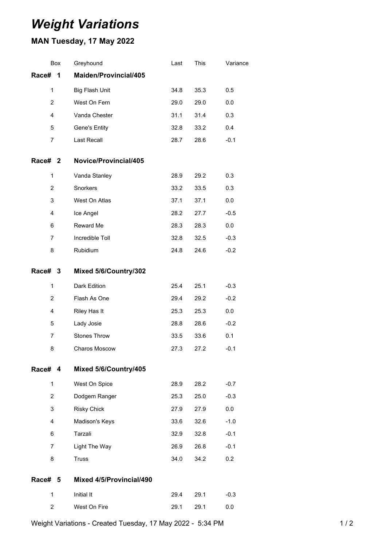## *Weight Variations*

## **MAN Tuesday, 17 May 2022**

|                | Box | Greyhound                | Last | This | Variance |
|----------------|-----|--------------------------|------|------|----------|
| Race#          | 1   | Maiden/Provincial/405    |      |      |          |
| $\mathbf{1}$   |     | Big Flash Unit           | 34.8 | 35.3 | 0.5      |
| $\overline{2}$ |     | West On Fern             | 29.0 | 29.0 | 0.0      |
| 4              |     | Vanda Chester            | 31.1 | 31.4 | 0.3      |
| 5              |     | Gene's Entity            | 32.8 | 33.2 | 0.4      |
| $\overline{7}$ |     | <b>Last Recall</b>       | 28.7 | 28.6 | $-0.1$   |
| Race# 2        |     | Novice/Provincial/405    |      |      |          |
| 1              |     | Vanda Stanley            | 28.9 | 29.2 | 0.3      |
| 2              |     | Snorkers                 | 33.2 | 33.5 | 0.3      |
| 3              |     | West On Atlas            | 37.1 | 37.1 | 0.0      |
| 4              |     | Ice Angel                | 28.2 | 27.7 | $-0.5$   |
| 6              |     | Reward Me                | 28.3 | 28.3 | 0.0      |
| $\overline{7}$ |     | Incredible Toll          | 32.8 | 32.5 | $-0.3$   |
| 8              |     | Rubidium                 | 24.8 | 24.6 | $-0.2$   |
| Race# 3        |     | Mixed 5/6/Country/302    |      |      |          |
| 1              |     | Dark Edition             | 25.4 | 25.1 | $-0.3$   |
| $\overline{2}$ |     | Flash As One             | 29.4 | 29.2 | $-0.2$   |
| 4              |     | Riley Has It             | 25.3 | 25.3 | 0.0      |
| 5              |     | Lady Josie               | 28.8 | 28.6 | $-0.2$   |
| 7              |     | <b>Stones Throw</b>      | 33.5 | 33.6 | 0.1      |
| 8              |     | Charos Moscow            | 27.3 | 27.2 | $-0.1$   |
| Race# 4        |     | Mixed 5/6/Country/405    |      |      |          |
| $\mathbf{1}$   |     | West On Spice            | 28.9 | 28.2 | $-0.7$   |
| $\overline{2}$ |     | Dodgem Ranger            | 25.3 | 25.0 | $-0.3$   |
| 3              |     | <b>Risky Chick</b>       | 27.9 | 27.9 | 0.0      |
| 4              |     | Madison's Keys           | 33.6 | 32.6 | $-1.0$   |
| 6              |     | Tarzali                  | 32.9 | 32.8 | $-0.1$   |
| $\overline{7}$ |     | Light The Way            | 26.9 | 26.8 | $-0.1$   |
| 8              |     | <b>Truss</b>             | 34.0 | 34.2 | 0.2      |
| <b>Race#</b>   | 5   | Mixed 4/5/Provincial/490 |      |      |          |
| $\mathbf{1}$   |     | Initial It               | 29.4 | 29.1 | $-0.3$   |
| $\overline{2}$ |     | West On Fire             | 29.1 | 29.1 | 0.0      |
|                |     |                          |      |      |          |

Weight Variations - Created Tuesday, 17 May 2022 - 5:34 PM 1 1 1 1 1 1 1 2